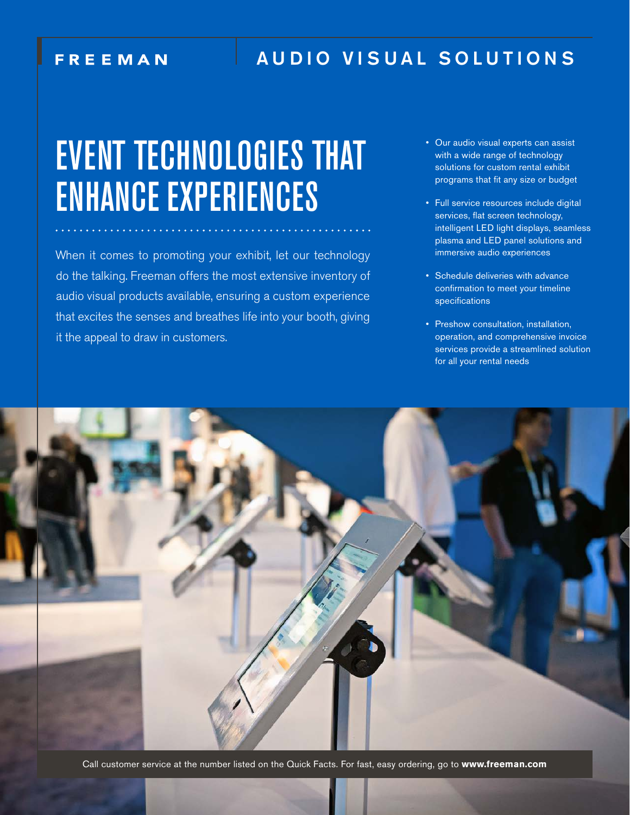### **FREEMAN**

# AUDIO VISUAL SOLUTIONS

# EVENT TECHNOLOGIES THAT ENHANCE EXPERIENCES

When it comes to promoting your exhibit, let our technology do the talking. Freeman offers the most extensive inventory of audio visual products available, ensuring a custom experience that excites the senses and breathes life into your booth, giving it the appeal to draw in customers.

- Our audio visual experts can assist with a wide range of technology solutions for custom rental exhibit programs that fit any size or budget
- Full service resources include digital services, flat screen technology, intelligent LED light displays, seamless plasma and LED panel solutions and immersive audio experiences
- Schedule deliveries with advance confirmation to meet your timeline specifications
- Preshow consultation, installation, operation, and comprehensive invoice services provide a streamlined solution for all your rental needs



Call customer service at the number listed on the Quick Facts. For fast, easy ordering, go to **www.freeman.com**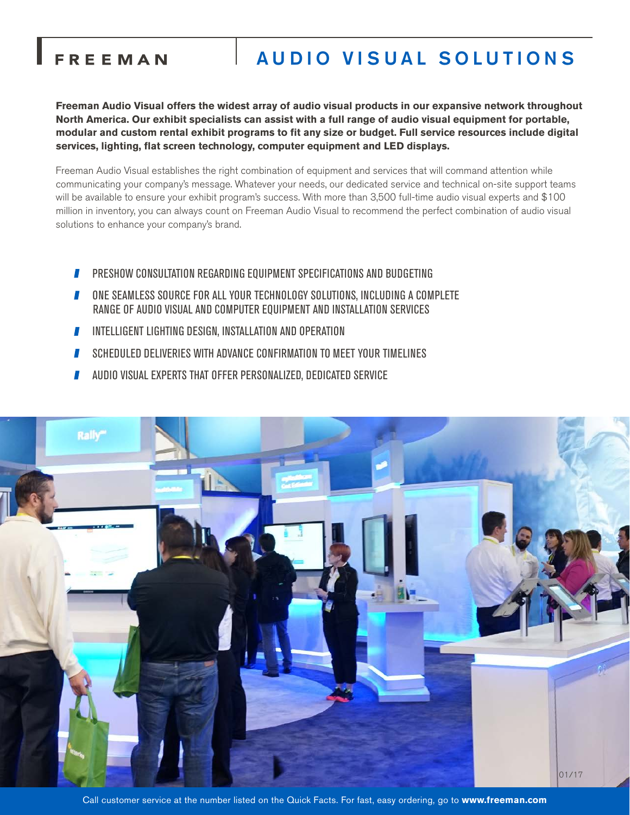## FREEMAN

# AUDIO VISUAL SOLUTIONS

**Freeman Audio Visual offers the widest array of audio visual products in our expansive network throughout North America. Our exhibit specialists can assist with a full range of audio visual equipment for portable, modular and custom rental exhibit programs to fit any size or budget. Full service resources include digital services, lighting, flat screen technology, computer equipment and LED displays.**

Freeman Audio Visual establishes the right combination of equipment and services that will command attention while communicating your company's message. Whatever your needs, our dedicated service and technical on-site support teams will be available to ensure your exhibit program's success. With more than 3,500 full-time audio visual experts and \$100 million in inventory, you can always count on Freeman Audio Visual to recommend the perfect combination of audio visual solutions to enhance your company's brand.

- PRESHOW CONSULTATION REGARDING EQUIPMENT SPECIFICATIONS AND BUDGETING П
- ONE SEAMLESS SOURCE FOR ALL YOUR TECHNOLOGY SOLUTIONS, INCLUDING A COMPLETE RANGE OF AUDIO VISUAL AND COMPUTER EQUIPMENT AND INSTALLATION SERVICES
- **INTELLIGENT LIGHTING DESIGN, INSTALLATION AND OPERATION**
- SCHEDULED DELIVERIES WITH ADVANCE CONFIRMATION TO MEET YOUR TIMELINES П
- AUDIO VISUAL EXPERTS THAT OFFER PERSONALIZED, DEDICATED SERVICE



Call customer service at the number listed on the Quick Facts. For fast, easy ordering, go to **www.freeman.com**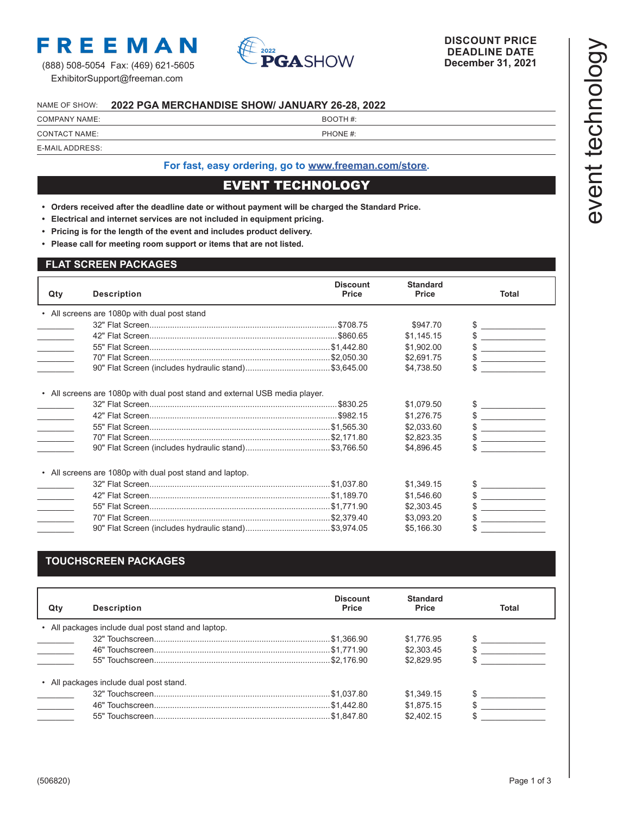

(888) 508-5054 Fax: (469) 621-5605 ExhibitorSupport@freeman.com



#### NAME OF SHOW: **2022 PGA MERCHANDISE SHOW/ JANUARY 26-28, 2022**

| <b>COMPANY NAME:</b> | BOOTH#:  |
|----------------------|----------|
| <b>CONTACT NAME:</b> | PHONE #: |

### E-MAIL ADDRESS:

#### **For fast, easy ordering, go to [www.freeman.com/store.](https://www.freemanco.com/store?utm_source=Forms&utm_medium=PDF)**

#### EVENT TECHNOLOGY

- **• Orders received after the deadline date or without payment will be charged the Standard Price.**
- **• Electrical and internet services are not included in equipment pricing.**
- **• Pricing is for the length of the event and includes product delivery.**
- **• Please call for meeting room support or items that are not listed.**

#### **FLAT SCREEN PACKAGES**

| Qty           | <b>Description</b>                                                          | <b>Discount</b><br><b>Price</b> | <b>Standard</b><br><b>Price</b> | <b>Total</b>                                              |
|---------------|-----------------------------------------------------------------------------|---------------------------------|---------------------------------|-----------------------------------------------------------|
|               | • All screens are 1080p with dual post stand                                |                                 |                                 |                                                           |
|               |                                                                             |                                 | \$947.70                        | the company of the company of                             |
|               |                                                                             |                                 | \$1,145.15                      | <b>Contract Contract Contract</b>                         |
| $\mathcal{L}$ |                                                                             |                                 | \$1,902.00                      |                                                           |
|               |                                                                             |                                 | \$2,691.75                      | <b>Contract Contract Contract</b>                         |
|               |                                                                             |                                 | \$4,738.50                      |                                                           |
|               | • All screens are 1080p with dual post stand and external USB media player. |                                 |                                 |                                                           |
|               |                                                                             |                                 | \$1,079.50                      | $\begin{array}{c} \updownarrow \\ \downarrow \end{array}$ |
|               |                                                                             |                                 | \$1,276.75                      | $\frac{1}{2}$                                             |
|               |                                                                             |                                 | \$2,033.60                      |                                                           |
|               |                                                                             |                                 | \$2,823.35                      |                                                           |
|               |                                                                             |                                 | \$4,896.45                      |                                                           |
|               | • All screens are 1080p with dual post stand and laptop.                    |                                 |                                 |                                                           |
|               |                                                                             |                                 | \$1,349.15                      |                                                           |
| $\sim 10$     |                                                                             |                                 | \$1,546.60                      |                                                           |
|               |                                                                             |                                 | \$2,303.45                      |                                                           |
|               |                                                                             |                                 |                                 |                                                           |
|               |                                                                             |                                 | \$3,093.20                      |                                                           |

#### **TOUCHSCREEN PACKAGES**

| Qtv           | <b>Description</b>                                 | <b>Discount</b><br><b>Price</b> | <b>Standard</b><br><b>Price</b> | Total |
|---------------|----------------------------------------------------|---------------------------------|---------------------------------|-------|
|               | • All packages include dual post stand and laptop. |                                 |                                 |       |
|               |                                                    |                                 | \$1.776.95                      |       |
| $\mathcal{L}$ |                                                    |                                 | \$2,303.45                      |       |
|               |                                                    |                                 | \$2.829.95                      |       |
|               | • All packages include dual post stand.            |                                 |                                 |       |
|               |                                                    |                                 | \$1.349.15                      |       |
|               |                                                    |                                 | \$1.875.15                      |       |
|               |                                                    |                                 | \$2,402.15                      |       |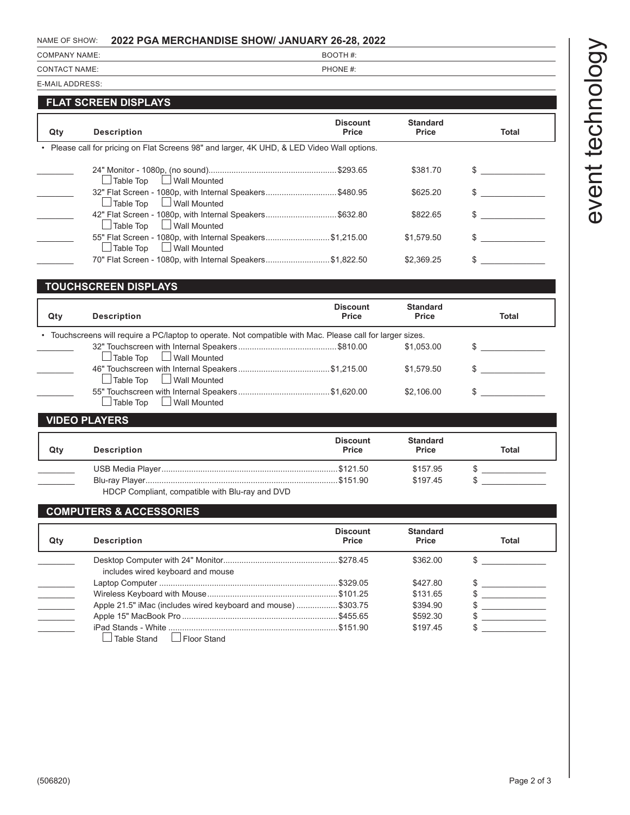# event technology event technology

#### NAME OF SHOW: **2022 PGA MERCHANDISE SHOW/ JANUARY 26-28, 2022**

| <b>COMPANY NAME:</b> | BOOTH#:  |
|----------------------|----------|
| <b>CONTACT NAME:</b> | PHONE #: |

E-MAIL ADDRESS:

#### **FLAT SCREEN DISPLAYS**

| Qty | <b>Description</b>                                                                            | <b>Discount</b><br><b>Price</b> | <b>Standard</b><br><b>Price</b> | <b>Total</b> |
|-----|-----------------------------------------------------------------------------------------------|---------------------------------|---------------------------------|--------------|
|     | • Please call for pricing on Flat Screens 98" and larger, 4K UHD, & LED Video Wall options.   |                                 |                                 |              |
|     | Table Top Lack Wall Mounted                                                                   |                                 | \$381.70                        |              |
|     | 32" Flat Screen - 1080p, with Internal Speakers\$480.95<br>Table Top<br>Wall Mounted          |                                 | \$625.20                        |              |
|     | 42" Flat Screen - 1080p, with Internal Speakers\$632.80<br>$\Box$ Wall Mounted<br>Table Top   |                                 | \$822.65                        |              |
|     | 55" Flat Screen - 1080p, with Internal Speakers\$1,215.00<br>$\Box$ Wall Mounted<br>Table Top |                                 | \$1.579.50                      |              |
|     | 70" Flat Screen - 1080p, with Internal Speakers\$1,822.50                                     |                                 | \$2.369.25                      |              |

#### **TOUCHSCREEN DISPLAYS**

| Qty | <b>Description</b>                                                                                         | <b>Discount</b><br>Price | <b>Standard</b><br>Price | Total |
|-----|------------------------------------------------------------------------------------------------------------|--------------------------|--------------------------|-------|
|     | • Touchscreens will require a PC/laptop to operate. Not compatible with Mac. Please call for larger sizes. |                          |                          |       |
|     | $\vert$ Table Top $\hskip10mm \Box$ Wall Mounted                                                           |                          | \$1.053.00               |       |
|     | $\Box$ Table Top $\Box$ Wall Mounted                                                                       |                          | \$1,579.50               |       |
|     | □ Wall Mounted<br>Table Top                                                                                |                          | \$2,106.00               |       |
|     | <b>VIDEO PLAYERS</b>                                                                                       |                          |                          |       |

#### \_\_\_\_\_\_\_\_ USB Media Player.............................................................................\$121.50 \$157.95 \$ \_\_\_\_\_\_\_\_\_\_\_\_\_\_ \_\_\_\_\_\_\_\_ Blu-ray Player....................................................................................\$151.90 \$197.45 \$ \_\_\_\_\_\_\_\_\_\_\_\_\_\_ HDCP Compliant, compatible with Blu-ray and DVD **Discount Standard Qty Description Price Price Total**

#### **COMPUTERS & ACCESSORIES**

| Qty | <b>Description</b>                                            | <b>Discount</b><br>Price | <b>Standard</b><br>Price | <b>Total</b> |
|-----|---------------------------------------------------------------|--------------------------|--------------------------|--------------|
|     | includes wired keyboard and mouse                             |                          | \$362.00                 |              |
|     |                                                               |                          | \$427.80                 |              |
|     |                                                               |                          | \$131.65                 |              |
|     | Apple 21.5" iMac (includes wired keyboard and mouse) \$303.75 |                          | \$394.90                 |              |
|     |                                                               |                          | \$592.30                 |              |
|     | I Floor Stand<br>Table Stand                                  |                          | \$197.45                 |              |